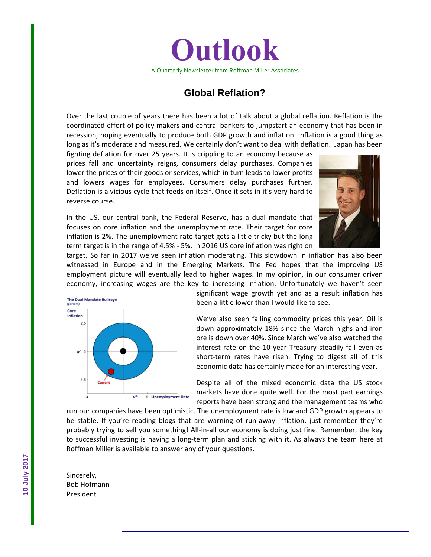

### **Global Reflation?**

Over the last couple of years there has been a lot of talk about a global reflation. Reflation is the coordinated effort of policy makers and central bankers to jumpstart an economy that has been in recession, hoping eventually to produce both GDP growth and inflation. Inflation is a good thing as long as it's moderate and measured. We certainly don't want to deal with deflation. Japan has been

fighting deflation for over 25 years. It is crippling to an economy because as prices fall and uncertainty reigns, consumers delay purchases. Companies lower the prices of their goods or services, which in turn leads to lower profits and lowers wages for employees. Consumers delay purchases further. Deflation is a vicious cycle that feeds on itself. Once it sets in it's very hard to reverse course.

In the US, our central bank, the Federal Reserve, has a dual mandate that focuses on core inflation and the unemployment rate. Their target for core inflation is 2%. The unemployment rate target gets a little tricky but the long term target is in the range of 4.5% ‐ 5%. In 2016 US core inflation was right on



target. So far in 2017 we've seen inflation moderating. This slowdown in inflation has also been witnessed in Europe and in the Emerging Markets. The Fed hopes that the improving US employment picture will eventually lead to higher wages. In my opinion, in our consumer driven economy, increasing wages are the key to increasing inflation. Unfortunately we haven't seen



significant wage growth yet and as a result inflation has been a little lower than I would like to see.

We've also seen falling commodity prices this year. Oil is down approximately 18% since the March highs and iron ore is down over 40%. Since March we've also watched the interest rate on the 10 year Treasury steadily fall even as short-term rates have risen. Trying to digest all of this economic data has certainly made for an interesting year.

Despite all of the mixed economic data the US stock markets have done quite well. For the most part earnings reports have been strong and the management teams who

run our companies have been optimistic. The unemployment rate is low and GDP growth appears to be stable. If you're reading blogs that are warning of run-away inflation, just remember they're probably trying to sell you something! All‐in‐all our economy is doing just fine. Remember, the key to successful investing is having a long‐term plan and sticking with it. As always the team here at Roffman Miller is available to answer any of your questions.

Sincerely, Bob Hofmann President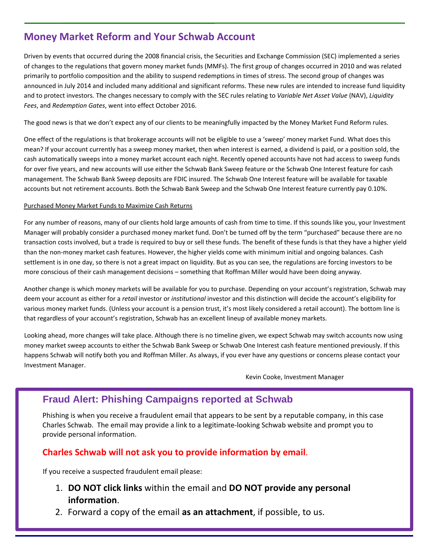# **Money Market Reform and Your Schwab Account**

Driven by events that occurred during the 2008 financial crisis, the Securities and Exchange Commission (SEC) implemented a series of changes to the regulations that govern money market funds (MMFs). The first group of changes occurred in 2010 and was related primarily to portfolio composition and the ability to suspend redemptions in times of stress. The second group of changes was announced in July 2014 and included many additional and significant reforms. These new rules are intended to increase fund liquidity and to protect investors. The changes necessary to comply with the SEC rules relating to *Variable Net Asset Value* (NAV), *Liquidity Fees*, and *Redemption Gates*, went into effect October 2016.

The good news is that we don't expect any of our clients to be meaningfully impacted by the Money Market Fund Reform rules.

One effect of the regulations is that brokerage accounts will not be eligible to use a 'sweep' money market Fund. What does this mean? If your account currently has a sweep money market, then when interest is earned, a dividend is paid, or a position sold, the cash automatically sweeps into a money market account each night. Recently opened accounts have not had access to sweep funds for over five years, and new accounts will use either the Schwab Bank Sweep feature or the Schwab One Interest feature for cash management. The Schwab Bank Sweep deposits are FDIC insured. The Schwab One Interest feature will be available for taxable accounts but not retirement accounts. Both the Schwab Bank Sweep and the Schwab One Interest feature currently pay 0.10%.

#### Purchased Money Market Funds to Maximize Cash Returns

For any number of reasons, many of our clients hold large amounts of cash from time to time. If this sounds like you, your Investment Manager will probably consider a purchased money market fund. Don't be turned off by the term "purchased" because there are no transaction costs involved, but a trade is required to buy or sell these funds. The benefit of these funds is that they have a higher yield than the non-money market cash features. However, the higher yields come with minimum initial and ongoing balances. Cash settlement is in one day, so there is not a great impact on liquidity. But as you can see, the regulations are forcing investors to be more conscious of their cash management decisions – something that Roffman Miller would have been doing anyway.

Another change is which money markets will be available for you to purchase. Depending on your account's registration, Schwab may deem your account as either for a *retail* investor or *institutional* investor and this distinction will decide the account's eligibility for various money market funds. (Unless your account is a pension trust, it's most likely considered a retail account). The bottom line is that regardless of your account's registration, Schwab has an excellent lineup of available money markets.

Looking ahead, more changes will take place. Although there is no timeline given, we expect Schwab may switch accounts now using money market sweep accounts to either the Schwab Bank Sweep or Schwab One Interest cash feature mentioned previously. If this happens Schwab will notify both you and Roffman Miller. As always, if you ever have any questions or concerns please contact your Investment Manager.

Kevin Cooke, Investment Manager

## **Fraud Alert: Phishing Campaigns reported at Schwab**

Phishing is when you receive a fraudulent email that appears to be sent by a reputable company, in this case Charles Schwab. The email may provide a link to a legitimate‐looking Schwab website and prompt you to provide personal information.

#### **Charles Schwab will not ask you to provide information by email**.

If you receive a suspected fraudulent email please:

- 1. **DO NOT click links** within the email and **DO NOT provide any personal information**.
- 2. Forward a copy of the email **as an attachment**, if possible, to us.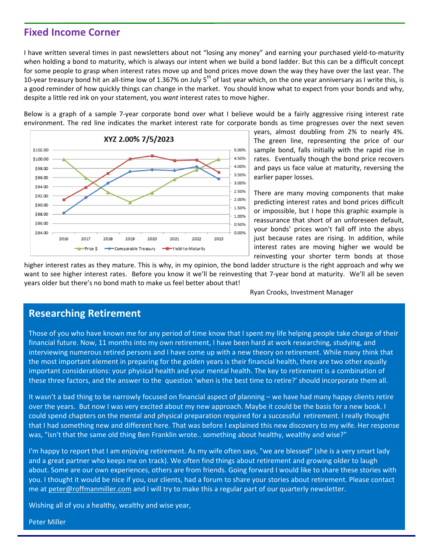### **Fixed Income Corner**

I have written several times in past newsletters about not "losing any money" and earning your purchased yield‐to‐maturity when holding a bond to maturity, which is always our intent when we build a bond ladder. But this can be a difficult concept for some people to grasp when interest rates move up and bond prices move down the way they have over the last year. The 10-year treasury bond hit an all-time low of 1.367% on July 5<sup>th</sup> of last year which, on the one year anniversary as I write this, is a good reminder of how quickly things can change in the market. You should know what to expect from your bonds and why, despite a little red ink on your statement, you *want* interest rates to move higher.

Below is a graph of a sample 7‐year corporate bond over what I believe would be a fairly aggressive rising interest rate environment. The red line indicates the market interest rate for corporate bonds as time progresses over the next seven



years, almost doubling from 2% to nearly 4%. The green line, representing the price of our sample bond, falls initially with the rapid rise in rates. Eventually though the bond price recovers and pays us face value at maturity, reversing the earlier paper losses.

There are many moving components that make predicting interest rates and bond prices difficult or impossible, but I hope this graphic example is reassurance that short of an unforeseen default, your bonds' prices won't fall off into the abyss just because rates are rising. In addition, while interest rates are moving higher we would be reinvesting your shorter term bonds at those

higher interest rates as they mature. This is why, in my opinion, the bond ladder structure is the right approach and why we want to see higher interest rates. Before you know it we'll be reinvesting that 7-year bond at maturity. We'll all be seven years older but there's no bond math to make us feel better about that!

Ryan Crooks, Investment Manager

### **Researching Retirement**

Those of you who have known me for any period of time know that I spent my life helping people take charge of their financial future. Now, 11 months into my own retirement, I have been hard at work researching, studying, and interviewing numerous retired persons and I have come up with a new theory on retirement. While many think that the most important element in preparing for the golden years is their financial health, there are two other equally important considerations: your physical health and your mental health. The key to retirement is a combination of these three factors, and the answer to the question 'when is the best time to retire?' should incorporate them all.

It wasn't a bad thing to be narrowly focused on financial aspect of planning – we have had many happy clients retire over the years. But now I was very excited about my new approach. Maybe it could be the basis for a new book. I could spend chapters on the mental and physical preparation required for a successful retirement. I really thought that I had something new and different here. That was before I explained this new discovery to my wife. Her response was, "isn't that the same old thing Ben Franklin wrote.. something about healthy, wealthy and wise?"

I'm happy to report that I am enjoying retirement. As my wife often says, "we are blessed" (she is a very smart lady and a great partner who keeps me on track). We often find things about retirement and growing older to laugh about. Some are our own experiences, others are from friends. Going forward I would like to share these stories with you. I thought it would be nice if you, our clients, had a forum to share your stories about retirement. Please contact me at peter@roffmanmiller.com and I will try to make this a regular part of our quarterly newsletter.

Wishing all of you a healthy, wealthy and wise year,

Peter Miller